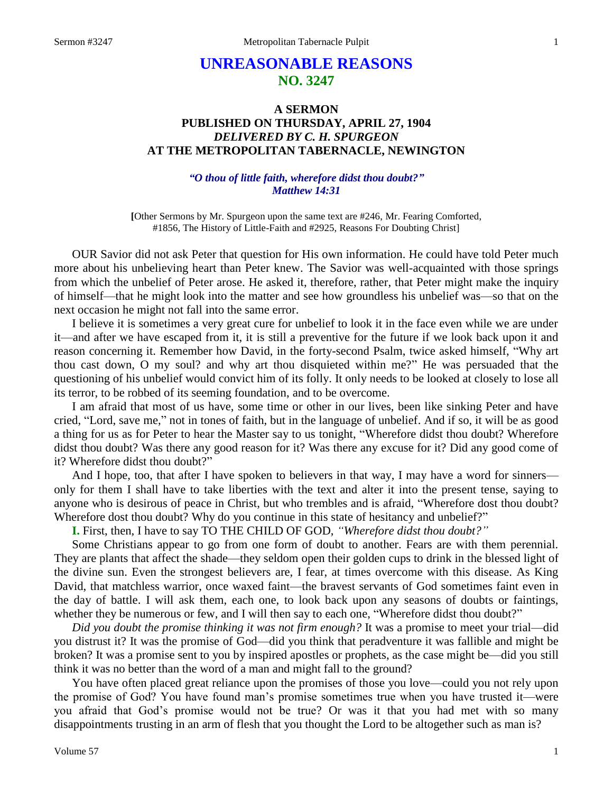# **UNREASONABLE REASONS NO. 3247**

# **A SERMON PUBLISHED ON THURSDAY, APRIL 27, 1904** *DELIVERED BY C. H. SPURGEON* **AT THE METROPOLITAN TABERNACLE, NEWINGTON**

# *"O thou of little faith, wherefore didst thou doubt?" Matthew 14:31*

**[**Other Sermons by Mr. Spurgeon upon the same text are #246, Mr. Fearing Comforted, #1856, The History of Little-Faith and #2925, Reasons For Doubting Christ]

OUR Savior did not ask Peter that question for His own information. He could have told Peter much more about his unbelieving heart than Peter knew. The Savior was well-acquainted with those springs from which the unbelief of Peter arose. He asked it, therefore, rather, that Peter might make the inquiry of himself—that he might look into the matter and see how groundless his unbelief was—so that on the next occasion he might not fall into the same error.

I believe it is sometimes a very great cure for unbelief to look it in the face even while we are under it—and after we have escaped from it, it is still a preventive for the future if we look back upon it and reason concerning it. Remember how David, in the forty-second Psalm, twice asked himself, "Why art thou cast down, O my soul? and why art thou disquieted within me?" He was persuaded that the questioning of his unbelief would convict him of its folly. It only needs to be looked at closely to lose all its terror, to be robbed of its seeming foundation, and to be overcome.

I am afraid that most of us have, some time or other in our lives, been like sinking Peter and have cried, "Lord, save me," not in tones of faith, but in the language of unbelief. And if so, it will be as good a thing for us as for Peter to hear the Master say to us tonight, "Wherefore didst thou doubt? Wherefore didst thou doubt? Was there any good reason for it? Was there any excuse for it? Did any good come of it? Wherefore didst thou doubt?"

And I hope, too, that after I have spoken to believers in that way, I may have a word for sinners only for them I shall have to take liberties with the text and alter it into the present tense, saying to anyone who is desirous of peace in Christ, but who trembles and is afraid, "Wherefore dost thou doubt? Wherefore dost thou doubt? Why do you continue in this state of hesitancy and unbelief?"

**I.** First, then, I have to say TO THE CHILD OF GOD, *"Wherefore didst thou doubt?"*

Some Christians appear to go from one form of doubt to another. Fears are with them perennial. They are plants that affect the shade—they seldom open their golden cups to drink in the blessed light of the divine sun. Even the strongest believers are, I fear, at times overcome with this disease. As King David, that matchless warrior, once waxed faint—the bravest servants of God sometimes faint even in the day of battle. I will ask them, each one, to look back upon any seasons of doubts or faintings, whether they be numerous or few, and I will then say to each one, "Wherefore didst thou doubt?"

*Did you doubt the promise thinking it was not firm enough?* It was a promise to meet your trial—did you distrust it? It was the promise of God—did you think that peradventure it was fallible and might be broken? It was a promise sent to you by inspired apostles or prophets, as the case might be—did you still think it was no better than the word of a man and might fall to the ground?

You have often placed great reliance upon the promises of those you love—could you not rely upon the promise of God? You have found man's promise sometimes true when you have trusted it—were you afraid that God's promise would not be true? Or was it that you had met with so many disappointments trusting in an arm of flesh that you thought the Lord to be altogether such as man is?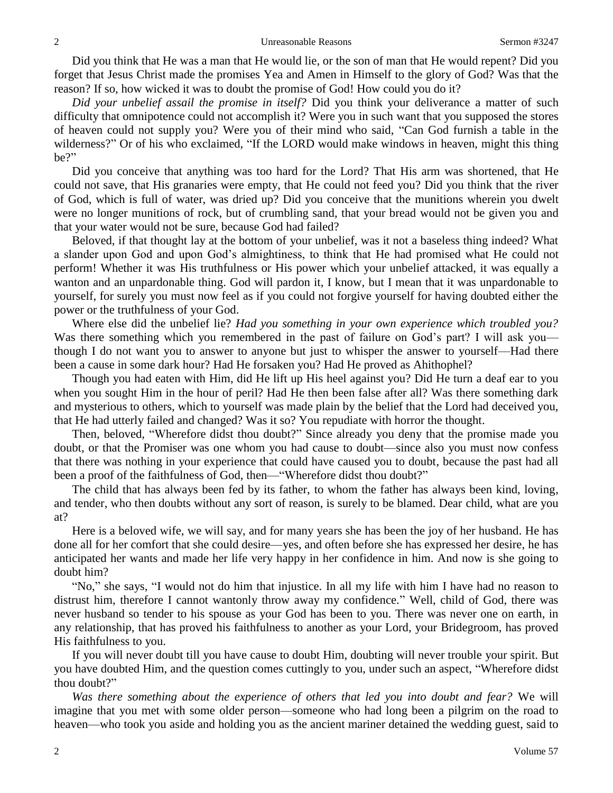Did you think that He was a man that He would lie, or the son of man that He would repent? Did you forget that Jesus Christ made the promises Yea and Amen in Himself to the glory of God? Was that the reason? If so, how wicked it was to doubt the promise of God! How could you do it?

*Did your unbelief assail the promise in itself?* Did you think your deliverance a matter of such difficulty that omnipotence could not accomplish it? Were you in such want that you supposed the stores of heaven could not supply you? Were you of their mind who said, "Can God furnish a table in the wilderness?" Or of his who exclaimed, "If the LORD would make windows in heaven, might this thing be?"

Did you conceive that anything was too hard for the Lord? That His arm was shortened, that He could not save, that His granaries were empty, that He could not feed you? Did you think that the river of God, which is full of water, was dried up? Did you conceive that the munitions wherein you dwelt were no longer munitions of rock, but of crumbling sand, that your bread would not be given you and that your water would not be sure, because God had failed?

Beloved, if that thought lay at the bottom of your unbelief, was it not a baseless thing indeed? What a slander upon God and upon God's almightiness, to think that He had promised what He could not perform! Whether it was His truthfulness or His power which your unbelief attacked, it was equally a wanton and an unpardonable thing. God will pardon it, I know, but I mean that it was unpardonable to yourself, for surely you must now feel as if you could not forgive yourself for having doubted either the power or the truthfulness of your God.

Where else did the unbelief lie? *Had you something in your own experience which troubled you?*  Was there something which you remembered in the past of failure on God's part? I will ask you though I do not want you to answer to anyone but just to whisper the answer to yourself—Had there been a cause in some dark hour? Had He forsaken you? Had He proved as Ahithophel?

Though you had eaten with Him, did He lift up His heel against you? Did He turn a deaf ear to you when you sought Him in the hour of peril? Had He then been false after all? Was there something dark and mysterious to others, which to yourself was made plain by the belief that the Lord had deceived you, that He had utterly failed and changed? Was it so? You repudiate with horror the thought.

Then, beloved, "Wherefore didst thou doubt?" Since already you deny that the promise made you doubt, or that the Promiser was one whom you had cause to doubt—since also you must now confess that there was nothing in your experience that could have caused you to doubt, because the past had all been a proof of the faithfulness of God, then—"Wherefore didst thou doubt?"

The child that has always been fed by its father, to whom the father has always been kind, loving, and tender, who then doubts without any sort of reason, is surely to be blamed. Dear child, what are you at?

Here is a beloved wife, we will say, and for many years she has been the joy of her husband. He has done all for her comfort that she could desire—yes, and often before she has expressed her desire, he has anticipated her wants and made her life very happy in her confidence in him. And now is she going to doubt him?

"No," she says, "I would not do him that injustice. In all my life with him I have had no reason to distrust him, therefore I cannot wantonly throw away my confidence." Well, child of God, there was never husband so tender to his spouse as your God has been to you. There was never one on earth, in any relationship, that has proved his faithfulness to another as your Lord, your Bridegroom, has proved His faithfulness to you.

If you will never doubt till you have cause to doubt Him, doubting will never trouble your spirit. But you have doubted Him, and the question comes cuttingly to you, under such an aspect, "Wherefore didst thou doubt?"

*Was there something about the experience of others that led you into doubt and fear?* We will imagine that you met with some older person—someone who had long been a pilgrim on the road to heaven—who took you aside and holding you as the ancient mariner detained the wedding guest, said to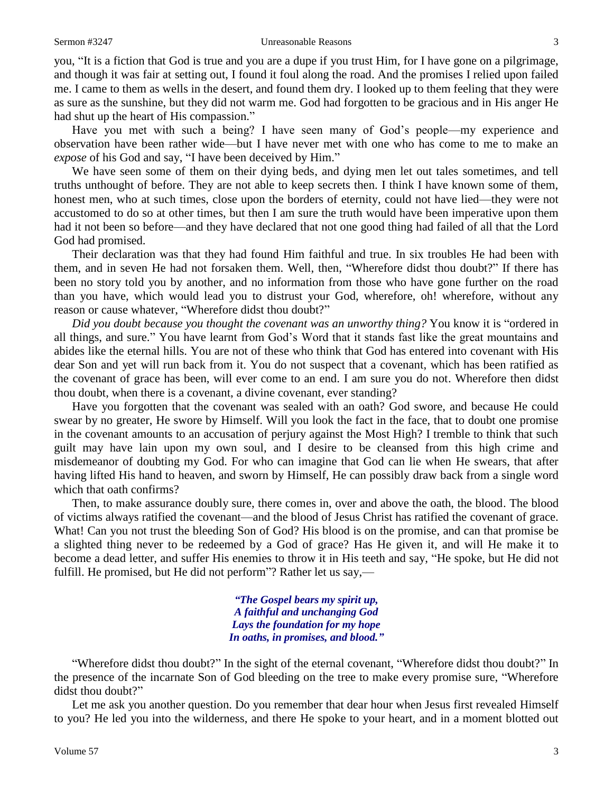you, "It is a fiction that God is true and you are a dupe if you trust Him, for I have gone on a pilgrimage, and though it was fair at setting out, I found it foul along the road. And the promises I relied upon failed me. I came to them as wells in the desert, and found them dry. I looked up to them feeling that they were as sure as the sunshine, but they did not warm me. God had forgotten to be gracious and in His anger He had shut up the heart of His compassion."

Have you met with such a being? I have seen many of God's people—my experience and observation have been rather wide—but I have never met with one who has come to me to make an *expose* of his God and say, "I have been deceived by Him."

We have seen some of them on their dying beds, and dying men let out tales sometimes, and tell truths unthought of before. They are not able to keep secrets then. I think I have known some of them, honest men, who at such times, close upon the borders of eternity, could not have lied—they were not accustomed to do so at other times, but then I am sure the truth would have been imperative upon them had it not been so before—and they have declared that not one good thing had failed of all that the Lord God had promised.

Their declaration was that they had found Him faithful and true. In six troubles He had been with them, and in seven He had not forsaken them. Well, then, "Wherefore didst thou doubt?" If there has been no story told you by another, and no information from those who have gone further on the road than you have, which would lead you to distrust your God, wherefore, oh! wherefore, without any reason or cause whatever, "Wherefore didst thou doubt?"

*Did you doubt because you thought the covenant was an unworthy thing?* You know it is "ordered in all things, and sure." You have learnt from God's Word that it stands fast like the great mountains and abides like the eternal hills. You are not of these who think that God has entered into covenant with His dear Son and yet will run back from it. You do not suspect that a covenant, which has been ratified as the covenant of grace has been, will ever come to an end. I am sure you do not. Wherefore then didst thou doubt, when there is a covenant, a divine covenant, ever standing?

Have you forgotten that the covenant was sealed with an oath? God swore, and because He could swear by no greater, He swore by Himself. Will you look the fact in the face, that to doubt one promise in the covenant amounts to an accusation of perjury against the Most High? I tremble to think that such guilt may have lain upon my own soul, and I desire to be cleansed from this high crime and misdemeanor of doubting my God. For who can imagine that God can lie when He swears, that after having lifted His hand to heaven, and sworn by Himself, He can possibly draw back from a single word which that oath confirms?

Then, to make assurance doubly sure, there comes in, over and above the oath, the blood. The blood of victims always ratified the covenant—and the blood of Jesus Christ has ratified the covenant of grace. What! Can you not trust the bleeding Son of God? His blood is on the promise, and can that promise be a slighted thing never to be redeemed by a God of grace? Has He given it, and will He make it to become a dead letter, and suffer His enemies to throw it in His teeth and say, "He spoke, but He did not fulfill. He promised, but He did not perform"? Rather let us say,—

> *"The Gospel bears my spirit up, A faithful and unchanging God Lays the foundation for my hope In oaths, in promises, and blood."*

"Wherefore didst thou doubt?" In the sight of the eternal covenant, "Wherefore didst thou doubt?" In the presence of the incarnate Son of God bleeding on the tree to make every promise sure, "Wherefore didst thou doubt?"

Let me ask you another question. Do you remember that dear hour when Jesus first revealed Himself to you? He led you into the wilderness, and there He spoke to your heart, and in a moment blotted out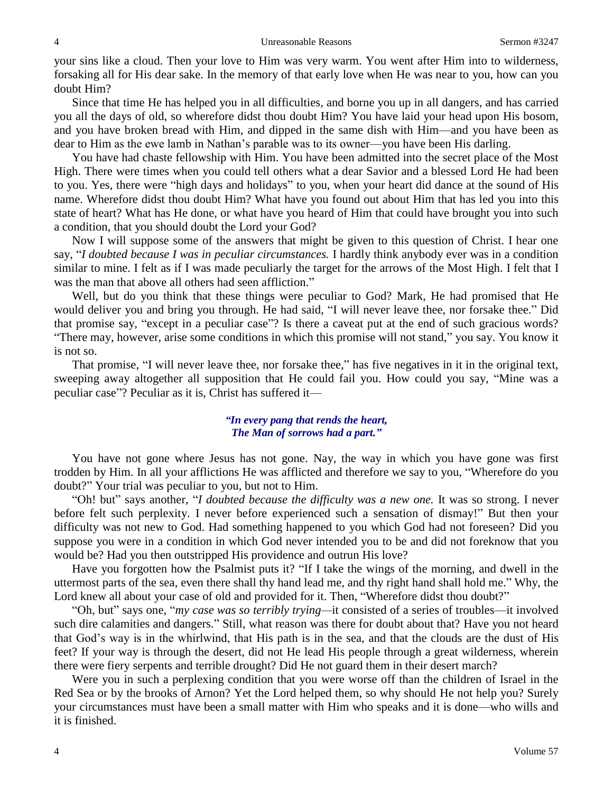your sins like a cloud. Then your love to Him was very warm. You went after Him into to wilderness, forsaking all for His dear sake. In the memory of that early love when He was near to you, how can you doubt Him?

Since that time He has helped you in all difficulties, and borne you up in all dangers, and has carried you all the days of old, so wherefore didst thou doubt Him? You have laid your head upon His bosom, and you have broken bread with Him, and dipped in the same dish with Him—and you have been as dear to Him as the ewe lamb in Nathan's parable was to its owner—you have been His darling.

You have had chaste fellowship with Him. You have been admitted into the secret place of the Most High. There were times when you could tell others what a dear Savior and a blessed Lord He had been to you. Yes, there were "high days and holidays" to you, when your heart did dance at the sound of His name. Wherefore didst thou doubt Him? What have you found out about Him that has led you into this state of heart? What has He done, or what have you heard of Him that could have brought you into such a condition, that you should doubt the Lord your God?

Now I will suppose some of the answers that might be given to this question of Christ. I hear one say, "*I doubted because I was in peculiar circumstances.* I hardly think anybody ever was in a condition similar to mine. I felt as if I was made peculiarly the target for the arrows of the Most High. I felt that I was the man that above all others had seen affliction."

Well, but do you think that these things were peculiar to God? Mark, He had promised that He would deliver you and bring you through. He had said, "I will never leave thee, nor forsake thee." Did that promise say, "except in a peculiar case"? Is there a caveat put at the end of such gracious words? "There may, however, arise some conditions in which this promise will not stand," you say. You know it is not so.

That promise, "I will never leave thee, nor forsake thee," has five negatives in it in the original text, sweeping away altogether all supposition that He could fail you. How could you say, "Mine was a peculiar case"? Peculiar as it is, Christ has suffered it—

# *"In every pang that rends the heart, The Man of sorrows had a part."*

You have not gone where Jesus has not gone. Nay, the way in which you have gone was first trodden by Him. In all your afflictions He was afflicted and therefore we say to you, "Wherefore do you doubt?" Your trial was peculiar to you, but not to Him.

"Oh! but" says another, "*I doubted because the difficulty was a new one.* It was so strong. I never before felt such perplexity. I never before experienced such a sensation of dismay!" But then your difficulty was not new to God. Had something happened to you which God had not foreseen? Did you suppose you were in a condition in which God never intended you to be and did not foreknow that you would be? Had you then outstripped His providence and outrun His love?

Have you forgotten how the Psalmist puts it? "If I take the wings of the morning, and dwell in the uttermost parts of the sea, even there shall thy hand lead me, and thy right hand shall hold me." Why, the Lord knew all about your case of old and provided for it. Then, "Wherefore didst thou doubt?"

"Oh, but" says one, "*my case was so terribly trying—*it consisted of a series of troubles—it involved such dire calamities and dangers." Still, what reason was there for doubt about that? Have you not heard that God's way is in the whirlwind, that His path is in the sea, and that the clouds are the dust of His feet? If your way is through the desert, did not He lead His people through a great wilderness, wherein there were fiery serpents and terrible drought? Did He not guard them in their desert march?

Were you in such a perplexing condition that you were worse off than the children of Israel in the Red Sea or by the brooks of Arnon? Yet the Lord helped them, so why should He not help you? Surely your circumstances must have been a small matter with Him who speaks and it is done—who wills and it is finished.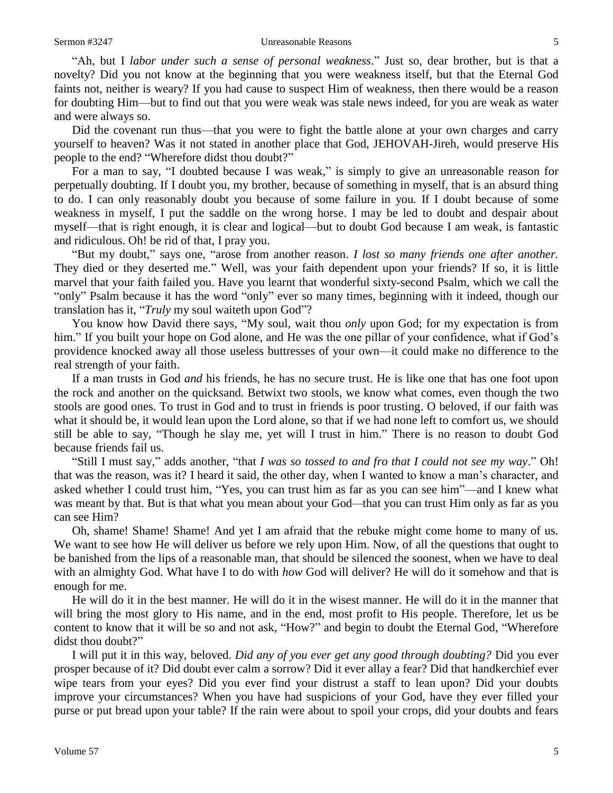"Ah, but I *labor under such a sense of personal weakness*." Just so, dear brother, but is that a novelty? Did you not know at the beginning that you were weakness itself, but that the Eternal God faints not, neither is weary? If you had cause to suspect Him of weakness, then there would be a reason for doubting Him—but to find out that you were weak was stale news indeed, for you are weak as water and were always so.

Did the covenant run thus—that you were to fight the battle alone at your own charges and carry yourself to heaven? Was it not stated in another place that God, JEHOVAH-Jireh, would preserve His people to the end? "Wherefore didst thou doubt?"

For a man to say, "I doubted because I was weak," is simply to give an unreasonable reason for perpetually doubting. If I doubt you, my brother, because of something in myself, that is an absurd thing to do. I can only reasonably doubt you because of some failure in you*.* If I doubt because of some weakness in myself, I put the saddle on the wrong horse. I may be led to doubt and despair about myself—that is right enough, it is clear and logical—but to doubt God because I am weak, is fantastic and ridiculous. Oh! be rid of that, I pray you.

"But my doubt," says one, "arose from another reason. *I lost so many friends one after another.*  They died or they deserted me." Well, was your faith dependent upon your friends? If so, it is little marvel that your faith failed you. Have you learnt that wonderful sixty-second Psalm, which we call the "only" Psalm because it has the word "only" ever so many times, beginning with it indeed, though our translation has it, "*Truly* my soul waiteth upon God"?

You know how David there says, "My soul, wait thou *only* upon God; for my expectation is from him." If you built your hope on God alone, and He was the one pillar of your confidence, what if God's providence knocked away all those useless buttresses of your own—it could make no difference to the real strength of your faith.

If a man trusts in God *and* his friends, he has no secure trust. He is like one that has one foot upon the rock and another on the quicksand. Betwixt two stools, we know what comes, even though the two stools are good ones. To trust in God and to trust in friends is poor trusting. O beloved, if our faith was what it should be, it would lean upon the Lord alone, so that if we had none left to comfort us, we should still be able to say, "Though he slay me, yet will I trust in him." There is no reason to doubt God because friends fail us.

"Still I must say," adds another, "that *I was so tossed to and fro that I could not see my way*." Oh! that was the reason, was it? I heard it said, the other day, when I wanted to know a man's character, and asked whether I could trust him, "Yes, you can trust him as far as you can see him"—and I knew what was meant by that. But is that what you mean about your God*—*that you can trust Him only as far as you can see Him?

Oh, shame! Shame! Shame! And yet I am afraid that the rebuke might come home to many of us. We want to see how He will deliver us before we rely upon Him. Now, of all the questions that ought to be banished from the lips of a reasonable man, that should be silenced the soonest, when we have to deal with an almighty God. What have I to do with *how* God will deliver? He will do it somehow and that is enough for me.

He will do it in the best manner. He will do it in the wisest manner. He will do it in the manner that will bring the most glory to His name, and in the end, most profit to His people. Therefore, let us be content to know that it will be so and not ask, "How?" and begin to doubt the Eternal God, "Wherefore didst thou doubt?"

I will put it in this way, beloved. *Did any of you ever get any good through doubting?* Did you ever prosper because of it? Did doubt ever calm a sorrow? Did it ever allay a fear? Did that handkerchief ever wipe tears from your eyes? Did you ever find your distrust a staff to lean upon? Did your doubts improve your circumstances? When you have had suspicions of your God, have they ever filled your purse or put bread upon your table? If the rain were about to spoil your crops, did your doubts and fears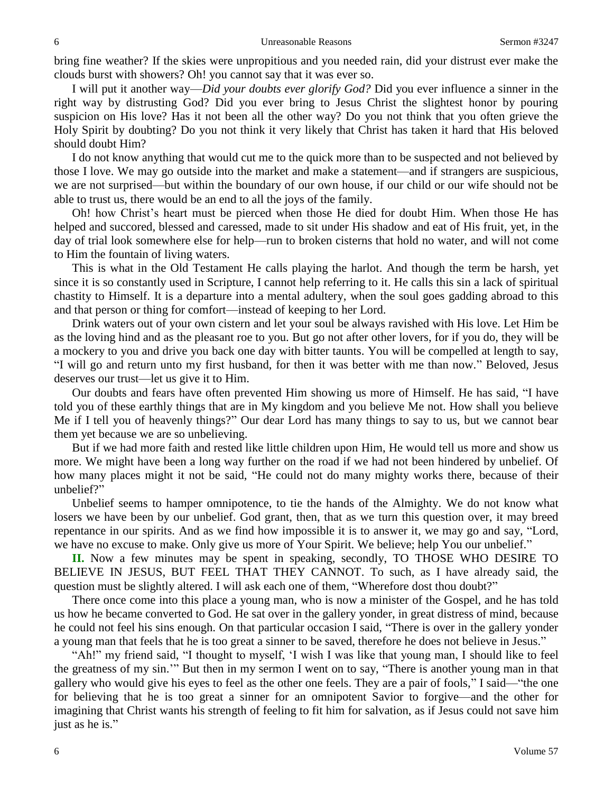bring fine weather? If the skies were unpropitious and you needed rain, did your distrust ever make the clouds burst with showers? Oh! you cannot say that it was ever so.

I will put it another way—*Did your doubts ever glorify God?* Did you ever influence a sinner in the right way by distrusting God? Did you ever bring to Jesus Christ the slightest honor by pouring suspicion on His love? Has it not been all the other way? Do you not think that you often grieve the Holy Spirit by doubting? Do you not think it very likely that Christ has taken it hard that His beloved should doubt Him?

I do not know anything that would cut me to the quick more than to be suspected and not believed by those I love. We may go outside into the market and make a statement—and if strangers are suspicious, we are not surprised—but within the boundary of our own house, if our child or our wife should not be able to trust us, there would be an end to all the joys of the family.

Oh! how Christ's heart must be pierced when those He died for doubt Him. When those He has helped and succored, blessed and caressed, made to sit under His shadow and eat of His fruit, yet, in the day of trial look somewhere else for help—run to broken cisterns that hold no water, and will not come to Him the fountain of living waters.

This is what in the Old Testament He calls playing the harlot. And though the term be harsh, yet since it is so constantly used in Scripture, I cannot help referring to it. He calls this sin a lack of spiritual chastity to Himself. It is a departure into a mental adultery, when the soul goes gadding abroad to this and that person or thing for comfort—instead of keeping to her Lord.

Drink waters out of your own cistern and let your soul be always ravished with His love. Let Him be as the loving hind and as the pleasant roe to you. But go not after other lovers, for if you do, they will be a mockery to you and drive you back one day with bitter taunts. You will be compelled at length to say, "I will go and return unto my first husband, for then it was better with me than now." Beloved, Jesus deserves our trust—let us give it to Him.

Our doubts and fears have often prevented Him showing us more of Himself. He has said, "I have told you of these earthly things that are in My kingdom and you believe Me not. How shall you believe Me if I tell you of heavenly things?" Our dear Lord has many things to say to us, but we cannot bear them yet because we are so unbelieving.

But if we had more faith and rested like little children upon Him, He would tell us more and show us more. We might have been a long way further on the road if we had not been hindered by unbelief. Of how many places might it not be said, "He could not do many mighty works there, because of their unbelief?"

Unbelief seems to hamper omnipotence, to tie the hands of the Almighty. We do not know what losers we have been by our unbelief. God grant, then, that as we turn this question over, it may breed repentance in our spirits. And as we find how impossible it is to answer it, we may go and say, "Lord, we have no excuse to make. Only give us more of Your Spirit. We believe; help You our unbelief."

**II.** Now a few minutes may be spent in speaking, secondly, TO THOSE WHO DESIRE TO BELIEVE IN JESUS, BUT FEEL THAT THEY CANNOT. To such, as I have already said, the question must be slightly altered. I will ask each one of them, "Wherefore dost thou doubt?"

There once come into this place a young man, who is now a minister of the Gospel, and he has told us how he became converted to God. He sat over in the gallery yonder, in great distress of mind, because he could not feel his sins enough. On that particular occasion I said, "There is over in the gallery yonder a young man that feels that he is too great a sinner to be saved, therefore he does not believe in Jesus."

"Ah!" my friend said, "I thought to myself, 'I wish I was like that young man, I should like to feel the greatness of my sin.'" But then in my sermon I went on to say, "There is another young man in that gallery who would give his eyes to feel as the other one feels. They are a pair of fools," I said—"the one for believing that he is too great a sinner for an omnipotent Savior to forgive—and the other for imagining that Christ wants his strength of feeling to fit him for salvation, as if Jesus could not save him just as he is."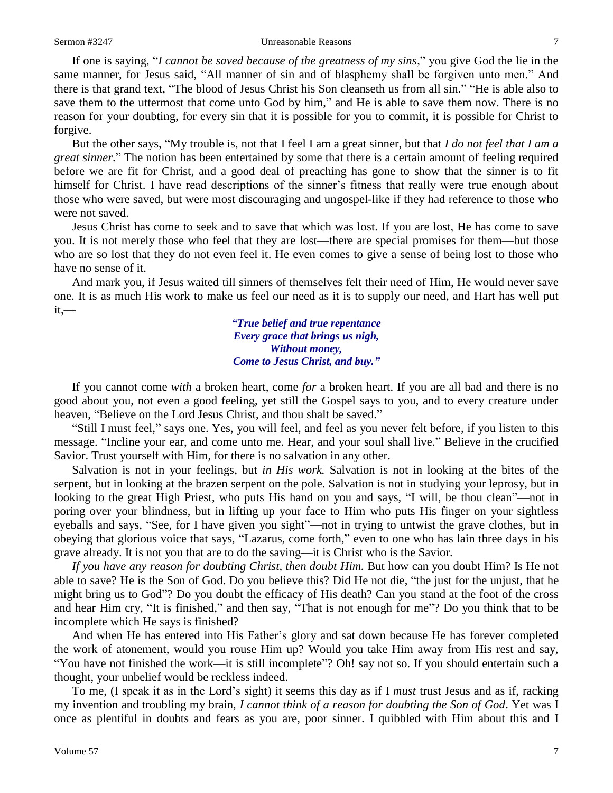If one is saying, "*I cannot be saved because of the greatness of my sins*," you give God the lie in the same manner, for Jesus said, "All manner of sin and of blasphemy shall be forgiven unto men." And there is that grand text, "The blood of Jesus Christ his Son cleanseth us from all sin." "He is able also to save them to the uttermost that come unto God by him," and He is able to save them now. There is no reason for your doubting, for every sin that it is possible for you to commit, it is possible for Christ to forgive.

But the other says, "My trouble is, not that I feel I am a great sinner, but that *I do not feel that I am a great sinner*." The notion has been entertained by some that there is a certain amount of feeling required before we are fit for Christ, and a good deal of preaching has gone to show that the sinner is to fit himself for Christ. I have read descriptions of the sinner's fitness that really were true enough about those who were saved, but were most discouraging and ungospel-like if they had reference to those who were not saved.

Jesus Christ has come to seek and to save that which was lost. If you are lost, He has come to save you. It is not merely those who feel that they are lost—there are special promises for them—but those who are so lost that they do not even feel it. He even comes to give a sense of being lost to those who have no sense of it.

And mark you, if Jesus waited till sinners of themselves felt their need of Him, He would never save one. It is as much His work to make us feel our need as it is to supply our need, and Hart has well put  $it,$ —

> *"True belief and true repentance Every grace that brings us nigh, Without money, Come to Jesus Christ, and buy."*

If you cannot come *with* a broken heart, come *for* a broken heart. If you are all bad and there is no good about you, not even a good feeling, yet still the Gospel says to you, and to every creature under heaven, "Believe on the Lord Jesus Christ, and thou shalt be saved."

"Still I must feel," says one. Yes, you will feel, and feel as you never felt before, if you listen to this message. "Incline your ear, and come unto me. Hear, and your soul shall live." Believe in the crucified Savior. Trust yourself with Him, for there is no salvation in any other.

Salvation is not in your feelings, but *in His work.* Salvation is not in looking at the bites of the serpent, but in looking at the brazen serpent on the pole. Salvation is not in studying your leprosy, but in looking to the great High Priest, who puts His hand on you and says, "I will, be thou clean"—not in poring over your blindness, but in lifting up your face to Him who puts His finger on your sightless eyeballs and says, "See, for I have given you sight"—not in trying to untwist the grave clothes, but in obeying that glorious voice that says, "Lazarus, come forth," even to one who has lain three days in his grave already. It is not you that are to do the saving—it is Christ who is the Savior.

If you have any reason for doubting Christ, then doubt Him. But how can you doubt Him? Is He not able to save? He is the Son of God. Do you believe this? Did He not die, "the just for the unjust, that he might bring us to God"? Do you doubt the efficacy of His death? Can you stand at the foot of the cross and hear Him cry, "It is finished," and then say, "That is not enough for me"? Do you think that to be incomplete which He says is finished?

And when He has entered into His Father's glory and sat down because He has forever completed the work of atonement, would you rouse Him up? Would you take Him away from His rest and say, "You have not finished the work—it is still incomplete"? Oh! say not so. If you should entertain such a thought, your unbelief would be reckless indeed.

To me, (I speak it as in the Lord's sight) it seems this day as if I *must* trust Jesus and as if, racking my invention and troubling my brain, *I cannot think of a reason for doubting the Son of God*. Yet was I once as plentiful in doubts and fears as you are, poor sinner. I quibbled with Him about this and I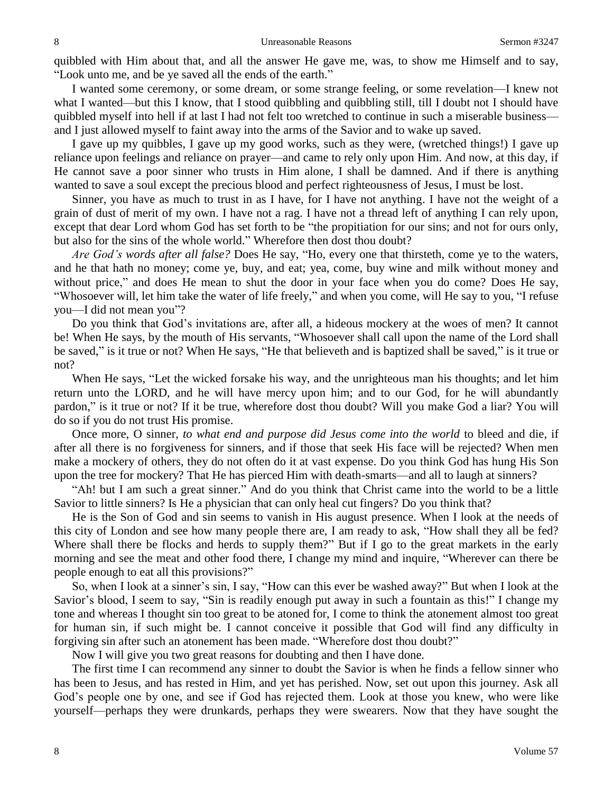quibbled with Him about that, and all the answer He gave me, was, to show me Himself and to say, "Look unto me, and be ye saved all the ends of the earth."

I wanted some ceremony, or some dream, or some strange feeling, or some revelation—I knew not what I wanted—but this I know, that I stood quibbling and quibbling still, till I doubt not I should have quibbled myself into hell if at last I had not felt too wretched to continue in such a miserable business and I just allowed myself to faint away into the arms of the Savior and to wake up saved.

I gave up my quibbles, I gave up my good works, such as they were, (wretched things!) I gave up reliance upon feelings and reliance on prayer—and came to rely only upon Him. And now, at this day, if He cannot save a poor sinner who trusts in Him alone, I shall be damned. And if there is anything wanted to save a soul except the precious blood and perfect righteousness of Jesus, I must be lost.

Sinner, you have as much to trust in as I have, for I have not anything. I have not the weight of a grain of dust of merit of my own. I have not a rag. I have not a thread left of anything I can rely upon, except that dear Lord whom God has set forth to be "the propitiation for our sins; and not for ours only, but also for the sins of the whole world." Wherefore then dost thou doubt?

*Are God's words after all false?* Does He say, "Ho, every one that thirsteth, come ye to the waters, and he that hath no money; come ye, buy, and eat; yea, come, buy wine and milk without money and without price," and does He mean to shut the door in your face when you do come? Does He say, "Whosoever will, let him take the water of life freely," and when you come, will He say to you, "I refuse you—I did not mean you"?

Do you think that God's invitations are, after all, a hideous mockery at the woes of men? It cannot be! When He says, by the mouth of His servants, "Whosoever shall call upon the name of the Lord shall be saved," is it true or not? When He says, "He that believeth and is baptized shall be saved," is it true or not?

When He says, "Let the wicked forsake his way, and the unrighteous man his thoughts; and let him return unto the LORD, and he will have mercy upon him; and to our God, for he will abundantly pardon," is it true or not? If it be true, wherefore dost thou doubt? Will you make God a liar? You will do so if you do not trust His promise.

Once more, O sinner, *to what end and purpose did Jesus come into the world* to bleed and die, if after all there is no forgiveness for sinners, and if those that seek His face will be rejected? When men make a mockery of others, they do not often do it at vast expense. Do you think God has hung His Son upon the tree for mockery? That He has pierced Him with death-smarts—and all to laugh at sinners?

"Ah! but I am such a great sinner." And do you think that Christ came into the world to be a little Savior to little sinners? Is He a physician that can only heal cut fingers? Do you think that?

He is the Son of God and sin seems to vanish in His august presence. When I look at the needs of this city of London and see how many people there are, I am ready to ask, "How shall they all be fed? Where shall there be flocks and herds to supply them?" But if I go to the great markets in the early morning and see the meat and other food there, I change my mind and inquire, "Wherever can there be people enough to eat all this provisions?"

So, when I look at a sinner's sin, I say, "How can this ever be washed away?" But when I look at the Savior's blood, I seem to say, "Sin is readily enough put away in such a fountain as this!" I change my tone and whereas I thought sin too great to be atoned for, I come to think the atonement almost too great for human sin, if such might be. I cannot conceive it possible that God will find any difficulty in forgiving sin after such an atonement has been made. "Wherefore dost thou doubt?"

Now I will give you two great reasons for doubting and then I have done.

The first time I can recommend any sinner to doubt the Savior is when he finds a fellow sinner who has been to Jesus, and has rested in Him, and yet has perished. Now, set out upon this journey. Ask all God's people one by one, and see if God has rejected them. Look at those you knew, who were like yourself—perhaps they were drunkards, perhaps they were swearers. Now that they have sought the